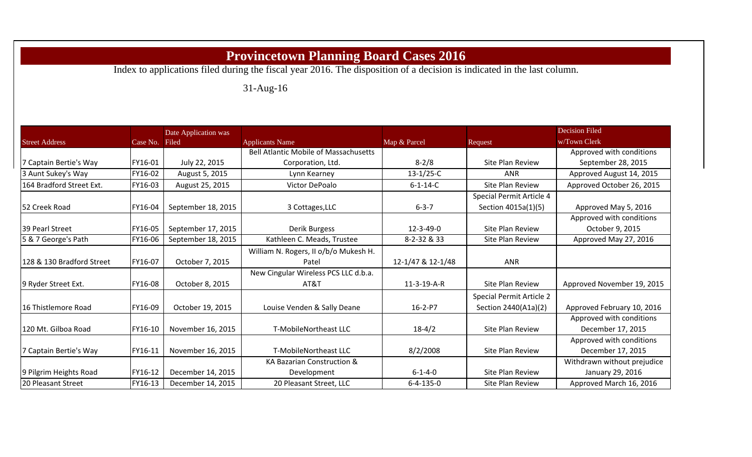## **Provincetown Planning Board Cases 2016**

Index to applications filed during the fiscal year 2016. The disposition of a decision is indicated in the last column.

## 31-Aug-16

|                           |                | Date Application was |                                              |                   |                          | <b>Decision Filed</b>       |
|---------------------------|----------------|----------------------|----------------------------------------------|-------------------|--------------------------|-----------------------------|
| <b>Street Address</b>     | Case No. Filed |                      | <b>Applicants Name</b>                       | Map & Parcel      | Request                  | w/Town Clerk                |
|                           |                |                      | <b>Bell Atlantic Mobile of Massachusetts</b> |                   |                          | Approved with conditions    |
| 7 Captain Bertie's Way    | FY16-01        | July 22, 2015        | Corporation, Ltd.                            | $8 - 2/8$         | Site Plan Review         | September 28, 2015          |
| 3 Aunt Sukey's Way        | FY16-02        | August 5, 2015       | Lynn Kearney                                 | $13-1/25-C$       | <b>ANR</b>               | Approved August 14, 2015    |
| 164 Bradford Street Ext.  | FY16-03        | August 25, 2015      | Victor DePoalo                               | $6 - 1 - 14 - C$  | <b>Site Plan Review</b>  | Approved October 26, 2015   |
|                           |                |                      |                                              |                   | Special Permit Article 4 |                             |
| 52 Creek Road             | FY16-04        | September 18, 2015   | 3 Cottages, LLC                              | $6 - 3 - 7$       | Section 4015a(1)(5)      | Approved May 5, 2016        |
|                           |                |                      |                                              |                   |                          | Approved with conditions    |
| 39 Pearl Street           | FY16-05        | September 17, 2015   | Derik Burgess                                | $12 - 3 - 49 - 0$ | <b>Site Plan Review</b>  | October 9, 2015             |
| 5 & 7 George's Path       | FY16-06        | September 18, 2015   | Kathleen C. Meads, Trustee                   | 8-2-32 & 33       | Site Plan Review         | Approved May 27, 2016       |
|                           |                |                      | William N. Rogers, II o/b/o Mukesh H.        |                   |                          |                             |
| 128 & 130 Bradford Street | FY16-07        | October 7, 2015      | Patel                                        | 12-1/47 & 12-1/48 | <b>ANR</b>               |                             |
|                           |                |                      | New Cingular Wireless PCS LLC d.b.a.         |                   |                          |                             |
| 9 Ryder Street Ext.       | FY16-08        | October 8, 2015      | AT&T                                         | 11-3-19-A-R       | Site Plan Review         | Approved November 19, 2015  |
|                           |                |                      |                                              |                   | Special Permit Article 2 |                             |
| 16 Thistlemore Road       | FY16-09        | October 19, 2015     | Louise Venden & Sally Deane                  | $16 - 2 - P7$     | Section 2440(A1a)(2)     | Approved February 10, 2016  |
|                           |                |                      |                                              |                   |                          | Approved with conditions    |
| 120 Mt. Gilboa Road       | FY16-10        | November 16, 2015    | T-MobileNortheast LLC                        | $18-4/2$          | Site Plan Review         | December 17, 2015           |
|                           |                |                      |                                              |                   |                          | Approved with conditions    |
| 7 Captain Bertie's Way    | FY16-11        | November 16, 2015    | <b>T-MobileNortheast LLC</b>                 | 8/2/2008          | Site Plan Review         | December 17, 2015           |
|                           |                |                      | KA Bazarian Construction &                   |                   |                          | Withdrawn without prejudice |
| 9 Pilgrim Heights Road    | FY16-12        | December 14, 2015    | Development                                  | $6 - 1 - 4 - 0$   | Site Plan Review         | January 29, 2016            |
| 20 Pleasant Street        | FY16-13        | December 14, 2015    | 20 Pleasant Street, LLC                      | $6 - 4 - 135 - 0$ | Site Plan Review         | Approved March 16, 2016     |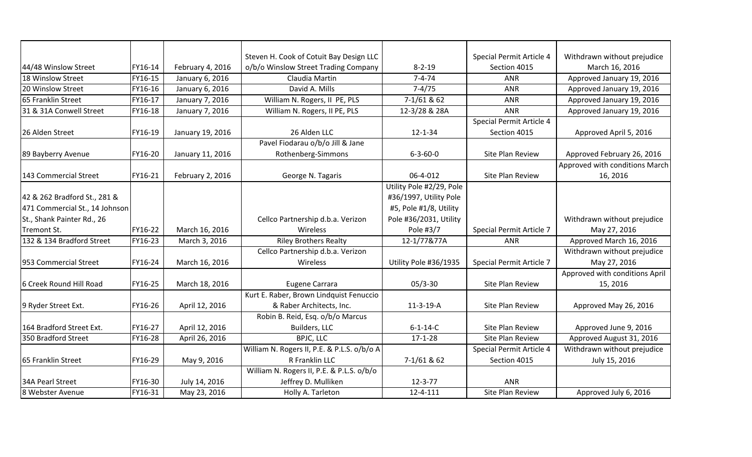|                                |         |                  | Steven H. Cook of Cotuit Bay Design LLC     |                          | Special Permit Article 4 | Withdrawn without prejudice    |
|--------------------------------|---------|------------------|---------------------------------------------|--------------------------|--------------------------|--------------------------------|
| 44/48 Winslow Street           | FY16-14 | February 4, 2016 | o/b/o Winslow Street Trading Company        | $8 - 2 - 19$             | Section 4015             | March 16, 2016                 |
| 18 Winslow Street              | FY16-15 | January 6, 2016  | Claudia Martin                              | $7 - 4 - 74$             | <b>ANR</b>               | Approved January 19, 2016      |
| 20 Winslow Street              | FY16-16 | January 6, 2016  | David A. Mills                              | $7-4/75$                 | <b>ANR</b>               | Approved January 19, 2016      |
| 65 Franklin Street             | FY16-17 | January 7, 2016  | William N. Rogers, II PE, PLS               | $7-1/61$ & 62            | <b>ANR</b>               | Approved January 19, 2016      |
| 31 & 31A Conwell Street        | FY16-18 | January 7, 2016  | William N. Rogers, II PE, PLS               | 12-3/28 & 28A            | <b>ANR</b>               | Approved January 19, 2016      |
|                                |         |                  |                                             |                          | Special Permit Article 4 |                                |
| 26 Alden Street                | FY16-19 | January 19, 2016 | 26 Alden LLC                                | $12 - 1 - 34$            | Section 4015             | Approved April 5, 2016         |
|                                |         |                  | Pavel Fiodarau o/b/o Jill & Jane            |                          |                          |                                |
| 89 Bayberry Avenue             | FY16-20 | January 11, 2016 | Rothenberg-Simmons                          | $6 - 3 - 60 - 0$         | Site Plan Review         | Approved February 26, 2016     |
|                                |         |                  |                                             |                          |                          | Approved with conditions March |
| 143 Commercial Street          | FY16-21 | February 2, 2016 | George N. Tagaris                           | 06-4-012                 | Site Plan Review         | 16, 2016                       |
|                                |         |                  |                                             | Utility Pole #2/29, Pole |                          |                                |
| 42 & 262 Bradford St., 281 &   |         |                  |                                             | #36/1997, Utility Pole   |                          |                                |
| 471 Commercial St., 14 Johnson |         |                  |                                             | #5, Pole #1/8, Utility   |                          |                                |
| St., Shank Painter Rd., 26     |         |                  | Cellco Partnership d.b.a. Verizon           | Pole #36/2031, Utility   |                          | Withdrawn without prejudice    |
| Tremont St.                    | FY16-22 | March 16, 2016   | Wireless                                    | Pole #3/7                | Special Permit Article 7 | May 27, 2016                   |
| 132 & 134 Bradford Street      | FY16-23 | March 3, 2016    | <b>Riley Brothers Realty</b>                | 12-1/77&77A              | <b>ANR</b>               | Approved March 16, 2016        |
|                                |         |                  | Cellco Partnership d.b.a. Verizon           |                          |                          | Withdrawn without prejudice    |
| 953 Commercial Street          | FY16-24 | March 16, 2016   | Wireless                                    | Utility Pole #36/1935    | Special Permit Article 7 | May 27, 2016                   |
|                                |         |                  |                                             |                          |                          | Approved with conditions April |
| 6 Creek Round Hill Road        | FY16-25 | March 18, 2016   | Eugene Carrara                              | $05/3 - 30$              | Site Plan Review         | 15, 2016                       |
|                                |         |                  | Kurt E. Raber, Brown Lindquist Fenuccio     |                          |                          |                                |
| 9 Ryder Street Ext.            | FY16-26 | April 12, 2016   | & Raber Architects, Inc.                    | $11-3-19-A$              | Site Plan Review         | Approved May 26, 2016          |
|                                |         |                  | Robin B. Reid, Esq. o/b/o Marcus            |                          |                          |                                |
| 164 Bradford Street Ext.       | FY16-27 | April 12, 2016   | Builders, LLC                               | $6 - 1 - 14 - C$         | Site Plan Review         | Approved June 9, 2016          |
| 350 Bradford Street            | FY16-28 | April 26, 2016   | BPJC, LLC                                   | $17 - 1 - 28$            | Site Plan Review         | Approved August 31, 2016       |
|                                |         |                  | William N. Rogers II, P.E. & P.L.S. o/b/o A |                          | Special Permit Article 4 | Withdrawn without prejudice    |
| 65 Franklin Street             | FY16-29 | May 9, 2016      | R Franklin LLC                              | 7-1/61 & 62              | Section 4015             | July 15, 2016                  |
|                                |         |                  | William N. Rogers II, P.E. & P.L.S. o/b/o   |                          |                          |                                |
| 34A Pearl Street               | FY16-30 | July 14, 2016    | Jeffrey D. Mulliken                         | $12 - 3 - 77$            | <b>ANR</b>               |                                |
| 8 Webster Avenue               | FY16-31 | May 23, 2016     | Holly A. Tarleton                           | 12-4-111                 | Site Plan Review         | Approved July 6, 2016          |